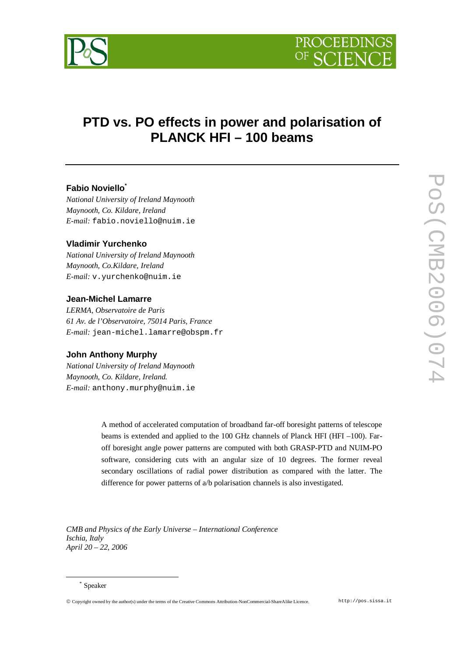

# **PTD vs. PO effects in power and polarisation of PLANCK HFI – 100 beams**

# **Fabio Noviello\***

*National University of Ireland Maynooth Maynooth, Co. Kildare, Ireland E-mail:* fabio.noviello@nuim.ie

## **Vladimir Yurchenko**

*National University of Ireland Maynooth Maynooth, Co.Kildare, Ireland E-mail:* v.yurchenko@nuim.ie

#### **Jean-Michel Lamarre**

*LERMA, Observatoire de Paris 61 Av. de l'Observatoire, 75014 Paris, France E-mail:* jean-michel.lamarre@obspm.fr

#### **John Anthony Murphy**

*National University of Ireland Maynooth Maynooth, Co. Kildare, Ireland. E-mail:* anthony.murphy@nuim.ie

> A method of accelerated computation of broadband far-off boresight patterns of telescope beams is extended and applied to the 100 GHz channels of Planck HFI (HFI –100). Faroff boresight angle power patterns are computed with both GRASP-PTD and NUIM-PO software, considering cuts with an angular size of 10 degrees. The former reveal secondary oscillations of radial power distribution as compared with the latter. The difference for power patterns of a/b polarisation channels is also investigated.

*CMB and Physics of the Early Universe – International Conference Ischia, Italy April 20 – 22, 2006*

PoS(CMB2006)074

**POS(CMB2006)074** 

 $\overline{a}$ 

<sup>\*</sup> Speaker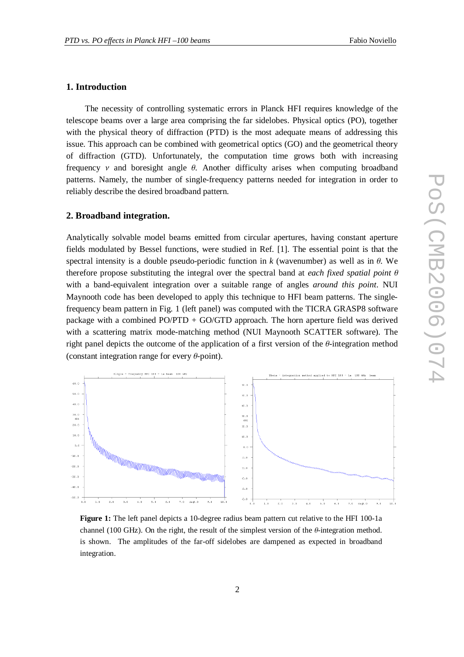## **1. Introduction**

The necessity of controlling systematic errors in Planck HFI requires knowledge of the telescope beams over a large area comprising the far sidelobes. Physical optics (PO), together with the physical theory of diffraction (PTD) is the most adequate means of addressing this issue. This approach can be combined with geometrical optics (GO) and the geometrical theory of diffraction (GTD). Unfortunately, the computation time grows both with increasing frequency  $\nu$  and boresight angle  $\theta$ . Another difficulty arises when computing broadband patterns. Namely, the number of single-frequency patterns needed for integration in order to reliably describe the desired broadband pattern.

# **2. Broadband integration.**

Analytically solvable model beams emitted from circular apertures, having constant aperture fields modulated by Bessel functions, were studied in Ref. [1]. The essential point is that the spectral intensity is a double pseudo-periodic function in  $k$  (wavenumber) as well as in  $\theta$ . We therefore propose substituting the integral over the spectral band at *each fixed spatial point*  $\theta$ with a band-equivalent integration over a suitable range of angles *around this point*. NUI Maynooth code has been developed to apply this technique to HFI beam patterns. The singlefrequency beam pattern in Fig. 1 (left panel) was computed with the TICRA GRASP8 software package with a combined  $PO/PTD + GO/GTD$  approach. The horn aperture field was derived with a scattering matrix mode-matching method (NUI Maynooth SCATTER software). The right panel depicts the outcome of the application of a first version of the  $\theta$ -integration method (constant integration range for every  $\theta$ -point).



**Figure 1:** The left panel depicts a 10-degree radius beam pattern cut relative to the HFI 100-1a channel (100 GHz). On the right, the result of the simplest version of the  $\theta$ -integration method. is shown. The amplitudes of the far-off sidelobes are dampened as expected in broadband integration.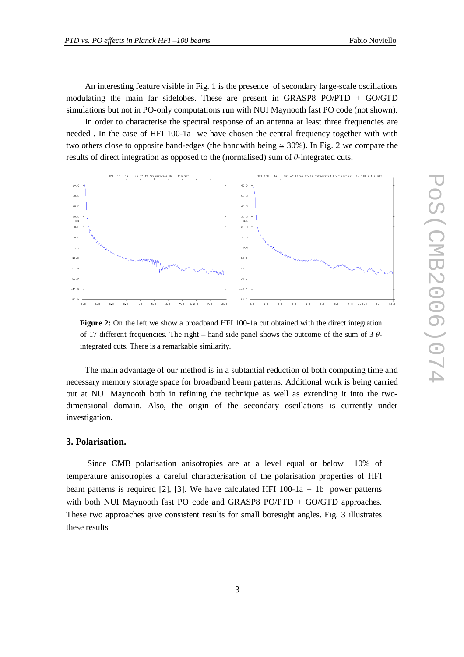An interesting feature visible in Fig. 1 is the presence of secondary large-scale oscillations modulating the main far sidelobes. These are present in GRASP8 PO/PTD + GO/GTD simulations but not in PO-only computations run with NUI Maynooth fast PO code (not shown).

In order to characterise the spectral response of an antenna at least three frequencies are needed . In the case of HFI 100-1a we have chosen the central frequency together with with two others close to opposite band-edges (the bandwith being  $\approx$  30%). In Fig. 2 we compare the results of direct integration as opposed to the (normalised) sum of  $\theta$ -integrated cuts.



**Figure 2:** On the left we show a broadband HFI 100-1a cut obtained with the direct integration of 17 different frequencies. The right – hand side panel shows the outcome of the sum of 3  $\theta$ integrated cuts. There is a remarkable similarity.

The main advantage of our method is in a subtantial reduction of both computing time and necessary memory storage space for broadband beam patterns. Additional work is being carried out at NUI Maynooth both in refining the technique as well as extending it into the twodimensional domain. Also, the origin of the secondary oscillations is currently under investigation.

### **3. Polarisation.**

Since CMB polarisation anisotropies are at a level equal or below 10% of temperature anisotropies a careful characterisation of the polarisation properties of HFI beam patterns is required [2], [3]. We have calculated HFI  $100-1a - 1b$  power patterns with both NUI Maynooth fast PO code and GRASP8 PO/PTD + GO/GTD approaches. These two approaches give consistent results for small boresight angles. Fig. 3 illustrates these results